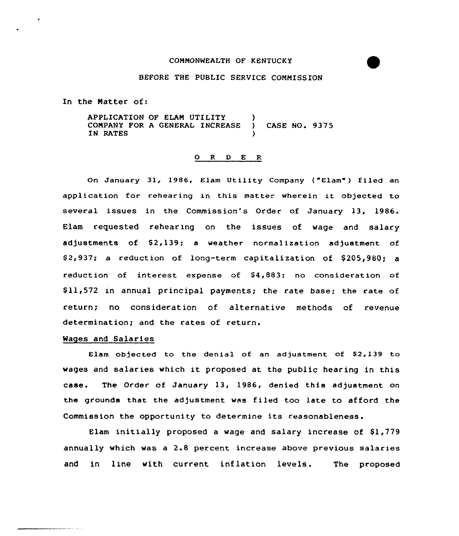### COMMONWEALTH OF KENTUCKY

# BEFORE THE PUBLIC SERVICE COMMISSION

In the Matter of:

APPLICATION OF ELAM UTILITY )<br>COMPANY FOR A GENERAL INCREASE ) COMPANY FOR A GENERAL INCREASE ) CASE NO. 9375 IN RATES

### 0 <sup>R</sup> <sup>D</sup> E R

On January 31, 1986, Elam Utility Company ("Clam" ) filed an application for rehearing in this matter wherein it objected to several issues in the Commission's Order of January 13, 1986. Elam requested rehearing on the issues of wage and salary adjustments of \$2,139; a weather normalization adjustment of \$2,937; a reduction of long-term capitalization of \$205,980; a reduction of interest expense of \$4,883; no consideration of \$ 11,572 in annual principal payments; the rate base; the rate of return; no consideration of alternative methods of revenue determination; and the rates of return.

### Wages and Salaries

Elam objected to the denial of an adjustment of \$2,139 to wages and salaries which it proposed at the public hearing in this case. The Order of January 13, 1986, denied this adjustment on the grounds that the adjustment was filed too late to afford the Commission the opportunity to determine its reasonableness.

Elam initially proposed a wage and salary increase of  $$1,779$ annually which was a 2.8 percent increase above previous salaries and in line with current inflation levels. The proposed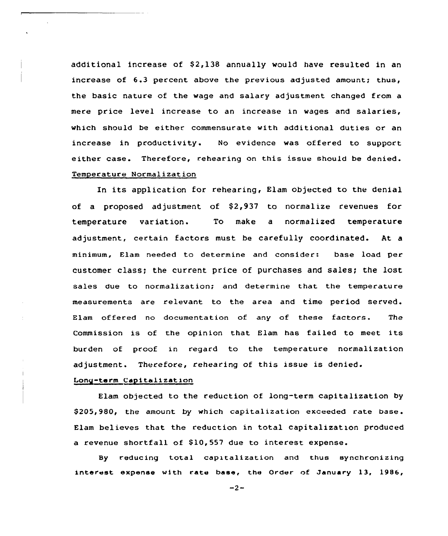additional increase of  $$2,138$  annually would have resulted in an increase of 6.3 percent above the previous adjusted amount; thus, the basic nature of the wage and salary adjustment changed from a mere price level increase to an increase in wages and salaries, which should be either commensurate with additional duties or an increase in productivity. No evidence was offered to support either case. Therefore, rehearing on this issue should be denied. Temperature Normalization

In its application for rehearing, Elam objected to the denial of a proposed adjustment of  $$2,937$  to normalize revenues for temperature variation. To make a normalized temperature adjustment, certain factors must be carefully coordinated. At a minimum, Elam needed to determine and consider: base load per customer class; the current price of purchases and sales; the lost sales due to normalization; and determine that the temperature measurements are relevant to the area and time period served. Elam offered no documentation of any of these factors. The Commission is of the opinion that Elam has failed to meet its burden of proof in regard to the temperature normalization adjustment. Therefore, rehearing of this issue is denied.

### Long-term Capitalization

Elam objected to the reduction of long-term capitalization by \$205,980, the amount by which capitalization exceeded rate base. Elam believes that the reduction in total capitalization produced a revenue shortfall of S10,557 due to interest expense.

By reducing total capitalization and thus synchronizing interest expense with rate base, the Order of January 13, 1986,

 $-2-$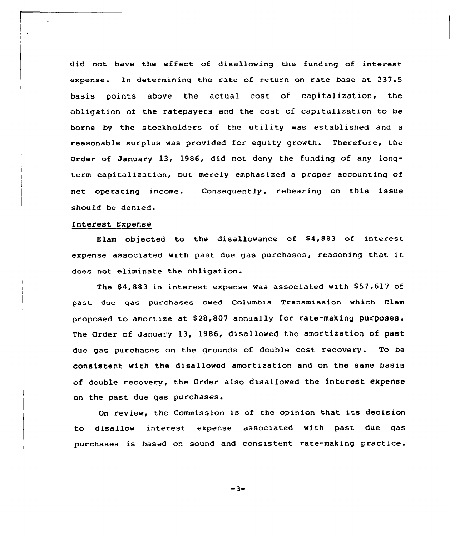did not have the effect of disallowing the funding of interest expense. In determining the rate of return on rate base at 237.5 basis points above the actual cost of capitalization, the obligation of the ratepayers and the cost of capitalization to be borne by the stockholders of the utility was established and <sup>a</sup> reasonable surplus was provided for equity growth. Therefore, the Order of January 13, 1986, did not deny the funding of any longterm capitalization, but merely emphasized a proper accounting of net operating income. Consequently, rehearing on this issue should be denied.

# Interest Expense

Elam objected to the disallowance of  $$4,883$  of interest expense associated with past due gas purchases, reasoning that it does not eliminate the obligation.

The  $$4,883$  in interest expense was associated with  $$57,617$  of past due gas purchases owed Columbia Transmission which Elam proposed to amortize at S28,807 annually for. rate-making purposes. The Order of January 13, 1986, disallowed the amortization of past due gas purchases on the grounds of double cost recovery. To be consistent with the disallowed amortization and on the same basis of double recovery, the Order also disallowed the interest expense on the past due gas purchases.

On review, the Commission is of the opinion that its decision to disallow interest expense associated with past due gas purchases is based on sound and consistent rate-making practice.

 $-3-$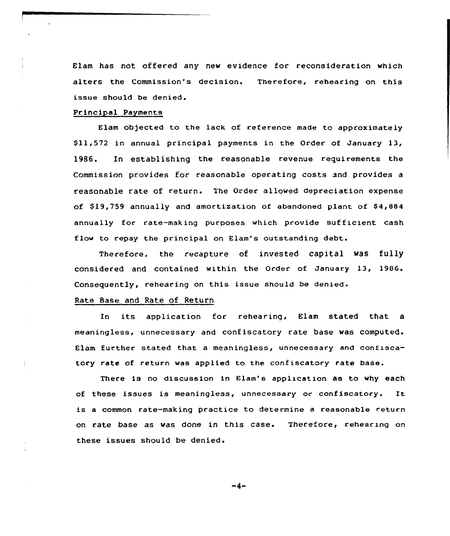Elam has not offered any new evidence for reconsideration which alters the Commission's decision. Therefore, rehearing on this issue should be denied.

## Principal Payments

Elam objected to the lack of reference made to approximately \$ 11,572 in annual principal payments in the Order of January 13, 1986. In establishing the reasonable revenue requirements the Commission provides for reasonable operating costs and provides a reasonable rate of return. The Order allowed depreciation expense of \$19,759 annually and amortization of abandoned plant of \$4,884 annually for rate-making purposes which provide sufficient cash flow to repay the principal on Elam's outstanding debt.

Therefore, the recapture of invested capital was fully considered and contained within the Order of January 13, 1986. Consequently, rehearing on this issue should be denied.

# Rate Base and Rate of Return

In its application for rehearing, Elam stated that a meaningless, unnecessary and confiscatory rate base was computed. Elam further stated that a meaningless, unnecessary and confiscatory rate of return was applied to the confiscatory rate base.

There is no discussion in Elam's application as to why each of these issues is meaningless, unnecessary or confiscatory. It is a common rate-making practice to determine a reasonable return on rate base as was done in this case. Therefore, rehearing on these issues should be denied.

 $-4-$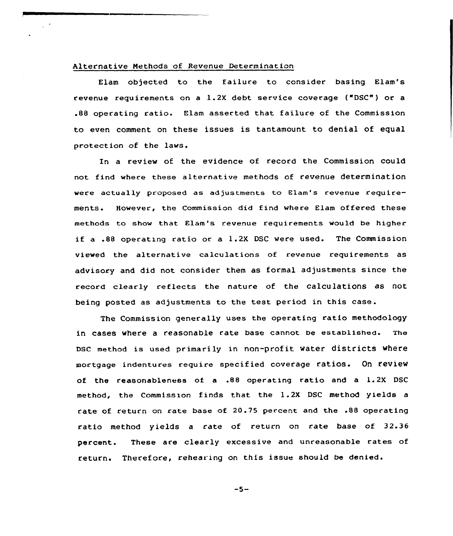# Alternative Nethods of Revenue Determination

Elam objected to the failure to consider basing Elam's revenue requirements on a 1.2X debt service coverage ("DSC") or a .BB operating ratio. Elam asserted that failure of the Commission to even comment on these issues is tantamount to denial of equal protection of the laws.

In a review of the evidence of record the Commission could not find where these alternative methods of revenue determinati were actually proposed as adjustments to Elam's revenue require-However, the Commission did find where Elam offered these ments. methods to show that Elam's revenue requirements would be higher if <sup>a</sup> .88 operating ratio or <sup>a</sup> 1.2X DSC were used. The Commission viewed the alternative calculations of revenue requirements as advisory and did not consider them as formal adjustments since the record clearly reflects the nature of the calculations as not being posted as adjustments to the test period in this case.

The Commission generally uses the operating ratio methodology in cases where <sup>a</sup> reasonable rate base cannot be established. The Dsc method is used primarily in non-profit water districts where mortgage indentures require specified coverage ratios. On review of the reasonableness of <sup>a</sup> .88 operating ratio and <sup>a</sup> l. 2X DSC method, the Commission finds that the 1.2X DSC method yields a rate of return on rate base of 20.75 percent and the .88 operating ratio method yields a rate of return on rate base of 32.36 percent. These are clearly excessive and unreasonable rates of return. Therefore, rehearing on this issue should be denied.

 $-5-$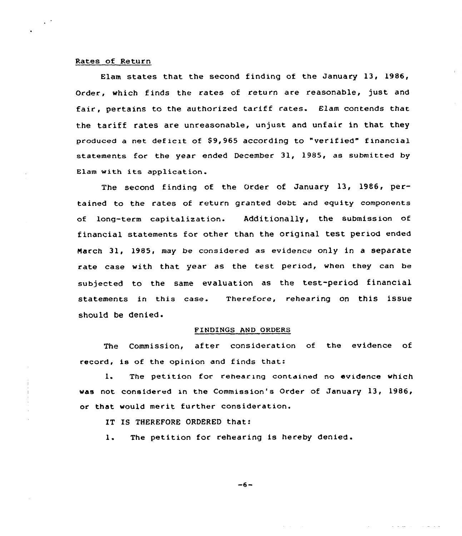# Rates of Return

Elam states that the second finding of the January 13, 1986, Order, which finds the rates of return are reasonable, just and fair, pertains to the authorized tariff rates. Elam contends that the tariff rates are unreasonable, unjust and unfair in that they produced a net deficit of \$9,965 according to "verified" financial statements for the year ended December 31, 1985, as submitted by Elam with its application.

The second finding of the Order of January 13, 1986, pertained to the rates of return granted debt and equity components of long-term capitalization. Additionally, the submission of financial statements for other than the original test period ended March 31, 1985, may be considered as evidence only in a separate rate case with that year as the test period, when they can be subjected to the same evaluation as the test-period financial statements in this case. Therefore, rehearing on this issue should be denied.

# FINDINGS AND ORDERS

The Commission, after consideration of the evidence of record, is of the opinion and finds that:

The petition for rehearing contained no evidence which  $1.$ was not considered in the Commission's Order of January 13, 1986, or that would merit further consideration.

IT IS THEREFORE ORDERED that:

The petition for rehearing is hereby denied.  $\mathbf{1}$ .

$$
-6-
$$